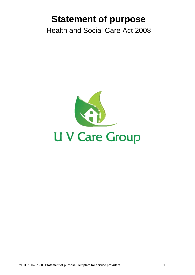# **Statement of purpose**

Health and Social Care Act 2008

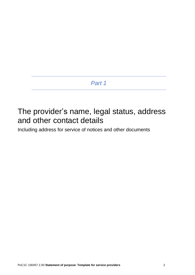# The provider's name, legal status, address and other contact details

Including address for service of notices and other documents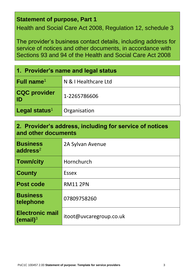#### **Statement of purpose, Part 1**

Health and Social Care Act 2008, Regulation 12, schedule 3

The provider's business contact details, including address for service of notices and other documents, in accordance with Sections 93 and 94 of the Health and Social Care Act 2008

| 1. Provider's name and legal status |                      |  |  |  |
|-------------------------------------|----------------------|--|--|--|
| <b>Full name</b> <sup>1</sup>       | N & I Healthcare Ltd |  |  |  |
| <b>CQC provider</b><br>  ID         | 1-2265786606         |  |  |  |
| Legal status <sup>1</sup>           | Organisation         |  |  |  |

# **2. Provider's address, including for service of notices and other documents**

| <b>Business</b><br>address $2$                 | 2A Sylvan Avenue        |
|------------------------------------------------|-------------------------|
| <b>Town/city</b>                               | Hornchurch              |
| <b>County</b>                                  | Essex                   |
| <b>Post code</b>                               | <b>RM11 2PN</b>         |
| <b>Business</b><br>telephone                   | 07809758260             |
| <b>Electronic mail</b><br>(email) <sup>3</sup> | itoot@uvcaregroup.co.uk |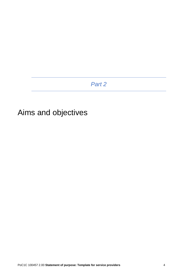# Aims and objectives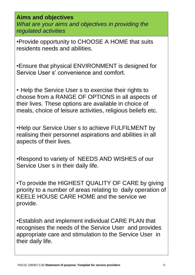**Aims and objectives** *What are your aims and objectives in providing the regulated activities* 

•Provide opportunity to CHOOSE A HOME that suits residents needs and abilities.

•Ensure that physical ENVIRONMENT is designed for Service User s' convenience and comfort.

• Help the Service User s to exercise their rights to choose from a RANGE OF OPTIONS in all aspects of their lives. These options are available in choice of meals, choice of leisure activities, religious beliefs etc.

•Help our Service User s to achieve FULFILMENT by realising their personnel aspirations and abilities in all aspects of their lives.

•Respond to variety of NEEDS AND WISHES of our Service User s in their daily life.

•To provide the HIGHEST QUALITY OF CARE by giving priority to a number of areas relating to daily operation of KEELE HOUSE CARE HOME and the service we provide.

•Establish and implement individual CARE PLAN that recognises the needs of the Service User and provides appropriate care and stimulation to the Service User in their daily life.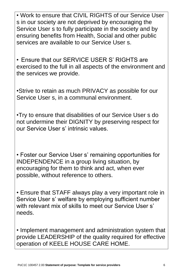• Work to ensure that CIVIL RIGHTS of our Service User s in our society are not deprived by encouraging the Service User s to fully participate in the society and by ensuring benefits from Health, Social and other public services are available to our Service User s.

• Ensure that our SERVICE USER S' RIGHTS are exercised to the full in all aspects of the environment and the services we provide.

•Strive to retain as much PRIVACY as possible for our Service User s, in a communal environment.

•Try to ensure that disabilities of our Service User s do not undermine their DIGNITY by preserving respect for our Service User s' intrinsic values.

• Foster our Service User s' remaining opportunities for INDEPENDENCE in a group living situation, by encouraging for them to think and act, when ever possible, without reference to others.

• Ensure that STAFF always play a very important role in Service User s' welfare by employing sufficient number with relevant mix of skills to meet our Service User s' needs.

• Implement management and administration system that provide LEADERSHIP of the quality required for effective operation of KEELE HOUSE CARE HOME.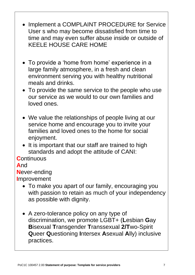- Implement a COMPLAINT PROCEDURE for Service User s who may become dissatisfied from time to time and may even suffer abuse inside or outside of KEELE HOUSE CARE HOME
- To provide a 'home from home' experience in a large family atmosphere, in a fresh and clean environment serving you with healthy nutritional meals and drinks.
- To provide the same service to the people who use our service as we would to our own families and loved ones.
- We value the relationships of people living at our service home and encourage you to invite your families and loved ones to the home for social enjoyment.
- It is important that our staff are trained to high standards and adopt the attitude of CANI:

**C**ontinuous

#### **A**nd

**N**ever-ending

**I**mprovement

- To make you apart of our family, encouraging you with passion to retain as much of your independency as possible with dignity.
- A zero-tolerance policy on any type of discrimination, we promote LGBT+ (**L**esbian **G**ay **B**isexual **T**ransgender **T**ranssexual **2/T**wo-Spirit **Q**ueer **Q**uestioning **I**ntersex **A**sexual **A**lly) inclusive practices.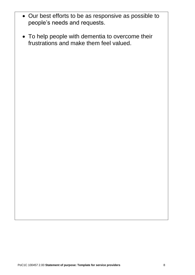- Our best efforts to be as responsive as possible to people's needs and requests.
- To help people with dementia to overcome their frustrations and make them feel valued.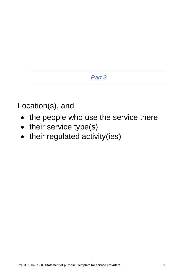Location(s), and

- the people who use the service there
- their service type(s)
- their regulated activity(ies)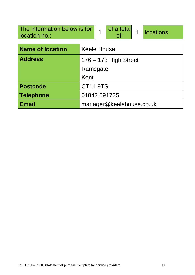| The information below is for<br>location no.: |                         |  | of a total               | 1 | <b>locations</b> |  |
|-----------------------------------------------|-------------------------|--|--------------------------|---|------------------|--|
| <b>Name of location</b>                       | <b>Keele House</b>      |  |                          |   |                  |  |
| <b>Address</b>                                | $176 - 178$ High Street |  |                          |   |                  |  |
|                                               | Ramsgate                |  |                          |   |                  |  |
|                                               | Kent                    |  |                          |   |                  |  |
| <b>Postcode</b>                               | <b>CT11 9TS</b>         |  |                          |   |                  |  |
| <b>Telephone</b>                              | 01843 591735            |  |                          |   |                  |  |
| <b>Email</b>                                  |                         |  | manager@keelehouse.co.uk |   |                  |  |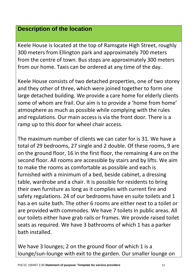#### **Description of the location**

Keele House is located at the top of Ramsgate High Street, roughly 300 meters from Ellington park and approximately 700 meters from the centre of town. Bus stops are approximately 300 meters from our home. Taxis can be ordered at any time of the day.

Keele House consists of two detached properties, one of two storey and they other of three, which were joined together to form one large detached building. We provide a care home for elderly clients some of whom are frail. Our aim is to provide a 'home from home' atmosphere as much as possible while complying with the rules and regulations. Our main access is via the front door. There is a ramp up to this door for wheel chair access.

The maximum number of clients we can cater for is 31. We have a total of 29 bedrooms, 27 single and 2 double. Of these rooms, 9 are on the ground floor, 16 in the first floor, the remaining 4 are on the second floor. All rooms are accessible by stairs and by lifts. We aim to make the rooms as comfortable as possible and each is furnished with a minimum of a bed, beside cabinet, a dressing table, wardrobe and a chair. It is possible for residents to bring their own furniture as long as it complies with current fire and safety regulations. 24 of our bedrooms have en suite toilets and 1 has a en suite bath. The other 6 rooms are either next to a toilet or are provided with commodes. We have 7 toilets in public areas. All our toilets either have grab rails or frames. We provide raised toilet seats as required. We have 3 bathrooms of which 1 has a parker bath installed.

We have 3 lounges; 2 on the ground floor of which 1 is a lounge/sun-lounge with exit to the garden. Our smaller lounge on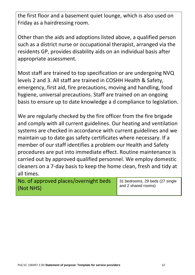the first floor and a basement quiet lounge, which is also used on Friday as a hairdressing room.

Other than the aids and adoptions listed above, a qualified person such as a district nurse or occupational therapist, arranged via the residents GP, provides disability aids on an individual basis after appropriate assessment.

Most staff are trained to top specification or are undergoing NVQ levels 2 and 3. All staff are trained in COSHH Health & Safety, emergency, first aid, fire precautions, moving and handling, food hygiene, universal precautions. Staff are trained on an ongoing basis to ensure up to date knowledge a d compliance to legislation.

We are regularly checked by the fire officer from the fire brigade and comply with all current guidelines. Our heating and ventilation systems are checked in accordance with current guidelines and we maintain up to date gas safety certificates where necessary. If a member of our staff identifies a problem our Health and Safety procedures are put into immediate effect. Routine maintenance is carried out by approved qualified personnel. We employ domestic cleaners on a 7-day basis to keep the home clean, fresh and tidy at all times.

No. of approved places/overnight beds (Not NHS)

31 bedrooms, 29 beds (27 single and 2 shared rooms)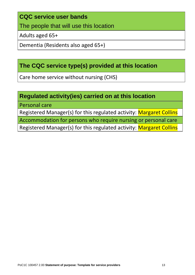#### **CQC service user bands**

The people that will use this location

Adults aged 65+

Dementia (Residents also aged 65+)

# **The CQC service type(s) provided at this location**

Care home service without nursing (CHS)

### **Regulated activity(ies) carried on at this location**

Personal care

Registered Manager(s) for this regulated activity: Margaret Collins

Accommodation for persons who require nursing or personal care

Registered Manager(s) for this regulated activity: Margaret Collins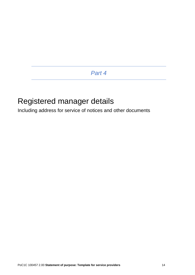# Registered manager details

Including address for service of notices and other documents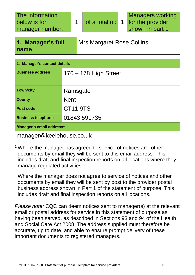| The information<br>below is for<br>manager number:            |  | of a total of: 1 |  | <b>Managers working</b><br>for the provider<br>shown in part 1 |
|---------------------------------------------------------------|--|------------------|--|----------------------------------------------------------------|
| 1. Manager's full<br><b>Mrs Margaret Rose Collins</b><br>name |  |                  |  |                                                                |
| <b>Manager's contact details</b>                              |  |                  |  |                                                                |

| <b>Business address</b>              | $176 - 178$ High Street |  |  |  |
|--------------------------------------|-------------------------|--|--|--|
| <b>Town/city</b>                     | Ramsgate                |  |  |  |
| <b>County</b>                        | Kent                    |  |  |  |
| <b>Post code</b>                     | <b>CT11 9TS</b>         |  |  |  |
| <b>Business telephone</b>            | 01843 591735            |  |  |  |
| Manager's email address <sup>1</sup> |                         |  |  |  |
| manager@keelehouse.co.uk             |                         |  |  |  |

<sup>1</sup> Where the manager has agreed to service of notices and other documents by email they will be sent to this email address. This includes draft and final inspection reports on all locations where they manage regulated activities.

Where the manager does not agree to service of notices and other documents by email they will be sent by post to the provider postal business address shown in Part 1 of the statement of purpose. This includes draft and final inspection reports on all locations.

*Please note:* CQC can deem notices sent to manager(s) at the relevant email or postal address for service in this statement of purpose as having been served, as described in Sections 93 and 94 of the Health and Social Care Act 2008. The address supplied must therefore be accurate, up to date, and able to ensure prompt delivery of these important documents to registered managers.